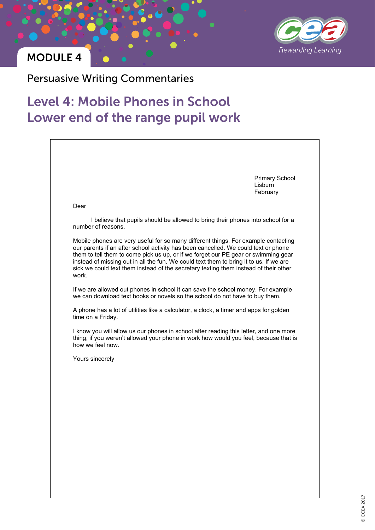

Persuasive Writing Commentaries

# Level 4: Mobile Phones in School Lower end of the range pupil work

|                                                                                                                                                                                                                                                                                                                                                                                                                                                           | <b>Primary School</b><br>Lisburn<br>February |
|-----------------------------------------------------------------------------------------------------------------------------------------------------------------------------------------------------------------------------------------------------------------------------------------------------------------------------------------------------------------------------------------------------------------------------------------------------------|----------------------------------------------|
| Dear                                                                                                                                                                                                                                                                                                                                                                                                                                                      |                                              |
| I believe that pupils should be allowed to bring their phones into school for a<br>number of reasons.                                                                                                                                                                                                                                                                                                                                                     |                                              |
| Mobile phones are very useful for so many different things. For example contacting<br>our parents if an after school activity has been cancelled. We could text or phone<br>them to tell them to come pick us up, or if we forget our PE gear or swimming gear<br>instead of missing out in all the fun. We could text them to bring it to us. If we are<br>sick we could text them instead of the secretary texting them instead of their other<br>work. |                                              |
| If we are allowed out phones in school it can save the school money. For example<br>we can download text books or novels so the school do not have to buy them.                                                                                                                                                                                                                                                                                           |                                              |
| A phone has a lot of utilities like a calculator, a clock, a timer and apps for golden<br>time on a Friday.                                                                                                                                                                                                                                                                                                                                               |                                              |
| I know you will allow us our phones in school after reading this letter, and one more<br>thing, if you weren't allowed your phone in work how would you feel, because that is<br>how we feel now.                                                                                                                                                                                                                                                         |                                              |
| Yours sincerely                                                                                                                                                                                                                                                                                                                                                                                                                                           |                                              |
|                                                                                                                                                                                                                                                                                                                                                                                                                                                           |                                              |
|                                                                                                                                                                                                                                                                                                                                                                                                                                                           |                                              |
|                                                                                                                                                                                                                                                                                                                                                                                                                                                           |                                              |
|                                                                                                                                                                                                                                                                                                                                                                                                                                                           |                                              |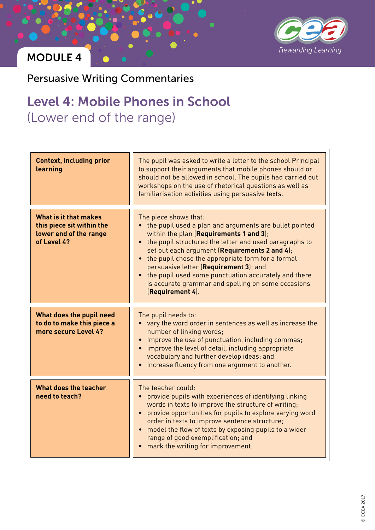

Persuasive Writing Commentaries

# Level 4: Mobile Phones in School (Lower end of the range)

| <b>Context, including prior</b><br>learning                                                 | The pupil was asked to write a letter to the school Principal<br>to support their arguments that mobile phones should or<br>should not be allowed in school. The pupils had carried out<br>workshops on the use of rhetorical questions as well as<br>familiarisation activities using persuasive texts.                                                                                                                                                                       |
|---------------------------------------------------------------------------------------------|--------------------------------------------------------------------------------------------------------------------------------------------------------------------------------------------------------------------------------------------------------------------------------------------------------------------------------------------------------------------------------------------------------------------------------------------------------------------------------|
| What is it that makes<br>this piece sit within the<br>lower end of the range<br>of Level 4? | The piece shows that:<br>• the pupil used a plan and arguments are bullet pointed<br>within the plan (Requirements 1 and 3);<br>• the pupil structured the letter and used paragraphs to<br>set out each argument (Requirements 2 and 4);<br>• the pupil chose the appropriate form for a formal<br>persuasive letter (Requirement 3); and<br>• the pupil used some punctuation accurately and there<br>is accurate grammar and spelling on some occasions<br>(Requirement 4). |
| What does the pupil need<br>to do to make this piece a<br>more secure Level 4?              | The pupil needs to:<br>• vary the word order in sentences as well as increase the<br>number of linking words;<br>improve the use of punctuation, including commas;<br>improve the level of detail, including appropriate<br>$\bullet$<br>vocabulary and further develop ideas; and<br>increase fluency from one argument to another.                                                                                                                                           |
| What does the teacher<br>need to teach?                                                     | The teacher could:<br>provide pupils with experiences of identifying linking<br>words in texts to improve the structure of writing;<br>provide opportunities for pupils to explore varying word<br>$\bullet$<br>order in texts to improve sentence structure;<br>model the flow of texts by exposing pupils to a wider<br>$\bullet$<br>range of good exemplification; and<br>mark the writing for improvement.                                                                 |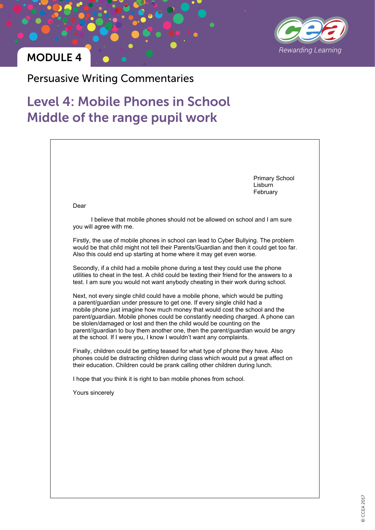

Persuasive Writing Commentaries

## Level 4: Mobile Phones in School Middle of the range pupil work

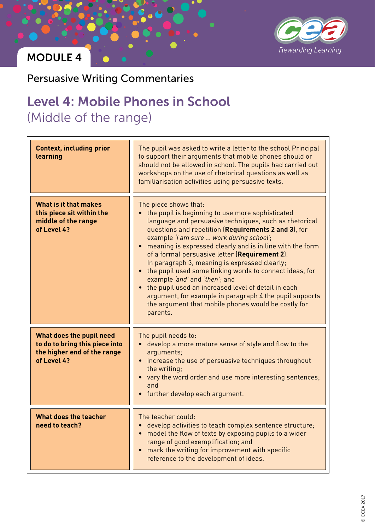

Persuasive Writing Commentaries

#### Level 4: Mobile Phones in School (Middle of the range) Level T. Mobile

| <b>Context, including prior</b><br>learning                                                              | The pupil was asked to write a letter to the school Principal<br>to support their arguments that mobile phones should or<br>should not be allowed in school. The pupils had carried out<br>workshops on the use of rhetorical questions as well as<br>familiarisation activities using persuasive texts.                                                                                                                                                                                                                                                                                                                                                                                 |
|----------------------------------------------------------------------------------------------------------|------------------------------------------------------------------------------------------------------------------------------------------------------------------------------------------------------------------------------------------------------------------------------------------------------------------------------------------------------------------------------------------------------------------------------------------------------------------------------------------------------------------------------------------------------------------------------------------------------------------------------------------------------------------------------------------|
| What is it that makes<br>this piece sit within the<br>middle of the range<br>of Level 4?                 | The piece shows that:<br>the pupil is beginning to use more sophisticated<br>language and persuasive techniques, such as rhetorical<br>questions and repetition (Requirements 2 and 3), for<br>example 'I am sure  work during school';<br>meaning is expressed clearly and is in line with the form<br>of a formal persuasive letter (Requirement 2).<br>In paragraph 3, meaning is expressed clearly;<br>the pupil used some linking words to connect ideas, for<br>example 'and' and 'then'; and<br>the pupil used an increased level of detail in each<br>argument, for example in paragraph 4 the pupil supports<br>the argument that mobile phones would be costly for<br>parents. |
| What does the pupil need<br>to do to bring this piece into<br>the higher end of the range<br>of Level 4? | The pupil needs to:<br>develop a more mature sense of style and flow to the<br>arguments;<br>increase the use of persuasive techniques throughout<br>the writing;<br>vary the word order and use more interesting sentences;<br>and<br>further develop each argument.                                                                                                                                                                                                                                                                                                                                                                                                                    |
| What does the teacher<br>need to teach?                                                                  | The teacher could:<br>develop activities to teach complex sentence structure;<br>model the flow of texts by exposing pupils to a wider<br>range of good exemplification; and<br>mark the writing for improvement with specific<br>reference to the development of ideas.                                                                                                                                                                                                                                                                                                                                                                                                                 |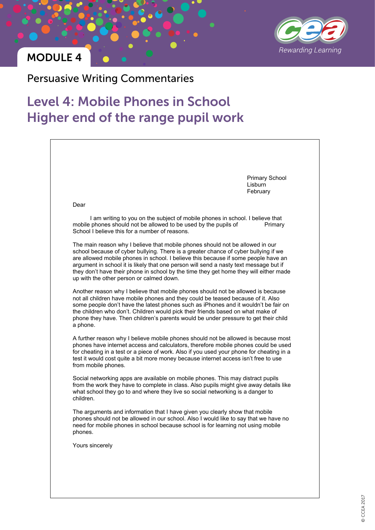

Persuasive Writing Commentaries

# Level 4: Mobile Phones in School Higher end of the range pupil work

|                                                | <b>Primary School</b><br>Lisburn<br>February                                                                                                                                                                                                                                                                                                                                                                                                 |
|------------------------------------------------|----------------------------------------------------------------------------------------------------------------------------------------------------------------------------------------------------------------------------------------------------------------------------------------------------------------------------------------------------------------------------------------------------------------------------------------------|
| Dear                                           |                                                                                                                                                                                                                                                                                                                                                                                                                                              |
| School I believe this for a number of reasons. | I am writing to you on the subject of mobile phones in school. I believe that<br>mobile phones should not be allowed to be used by the pupils of<br>Primary                                                                                                                                                                                                                                                                                  |
| up with the other person or calmed down.       | The main reason why I believe that mobile phones should not be allowed in our<br>school because of cyber bullying. There is a greater chance of cyber bullying if we<br>are allowed mobile phones in school. I believe this because if some people have an<br>argument in school it is likely that one person will send a nasty text message but if<br>they don't have their phone in school by the time they get home they will either made |
| a phone.                                       | Another reason why I believe that mobile phones should not be allowed is because<br>not all children have mobile phones and they could be teased because of it. Also<br>some people don't have the latest phones such as iPhones and it wouldn't be fair on<br>the children who don't. Children would pick their friends based on what make of<br>phone they have. Then children's parents would be under pressure to get their child        |
| from mobile phones.                            | A further reason why I believe mobile phones should not be allowed is because most<br>phones have internet access and calculators, therefore mobile phones could be used<br>for cheating in a test or a piece of work. Also if you used your phone for cheating in a<br>test it would cost quite a bit more money because internet access isn't free to use                                                                                  |
| children.                                      | Social networking apps are available on mobile phones. This may distract pupils<br>from the work they have to complete in class. Also pupils might give away details like<br>what school they go to and where they live so social networking is a danger to                                                                                                                                                                                  |
| phones.                                        | The arguments and information that I have given you clearly show that mobile<br>phones should not be allowed in our school. Also I would like to say that we have no<br>need for mobile phones in school because school is for learning not using mobile                                                                                                                                                                                     |
| Yours sincerely                                |                                                                                                                                                                                                                                                                                                                                                                                                                                              |